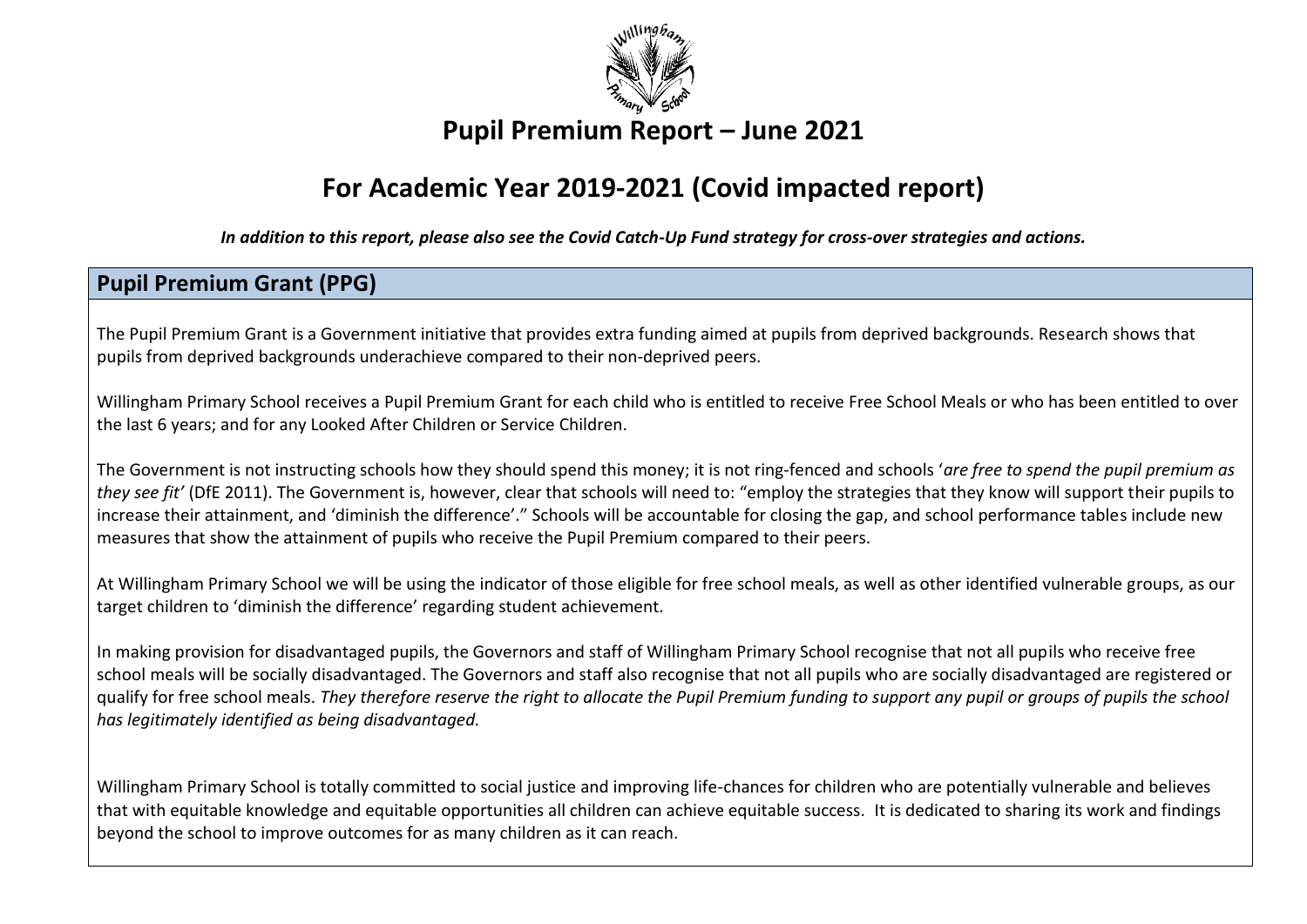

# **Pupil Premium Report – June 2021**

# **For Academic Year 2019-2021 (Covid impacted report)**

*In addition to this report, please also see the Covid Catch-Up Fund strategy for cross-over strategies and actions.*

## **Pupil Premium Grant (PPG)**

The Pupil Premium Grant is a Government initiative that provides extra funding aimed at pupils from deprived backgrounds. Research shows that pupils from deprived backgrounds underachieve compared to their non‐deprived peers.

Willingham Primary School receives a Pupil Premium Grant for each child who is entitled to receive Free School Meals or who has been entitled to over the last 6 years; and for any Looked After Children or Service Children.

The Government is not instructing schools how they should spend this money; it is not ring‐fenced and schools '*are free to spend the pupil premium as they see fit'* (DfE 2011). The Government is, however, clear that schools will need to: "employ the strategies that they know will support their pupils to increase their attainment, and 'diminish the difference'." Schools will be accountable for closing the gap, and school performance tables include new measures that show the attainment of pupils who receive the Pupil Premium compared to their peers.

At Willingham Primary School we will be using the indicator of those eligible for free school meals, as well as other identified vulnerable groups, as our target children to 'diminish the difference' regarding student achievement.

In making provision for disadvantaged pupils, the Governors and staff of Willingham Primary School recognise that not all pupils who receive free school meals will be socially disadvantaged. The Governors and staff also recognise that not all pupils who are socially disadvantaged are registered or qualify for free school meals. *They therefore reserve the right to allocate the Pupil Premium funding to support any pupil or groups of pupils the school has legitimately identified as being disadvantaged.*

Willingham Primary School is totally committed to social justice and improving life-chances for children who are potentially vulnerable and believes that with equitable knowledge and equitable opportunities all children can achieve equitable success. It is dedicated to sharing its work and findings beyond the school to improve outcomes for as many children as it can reach.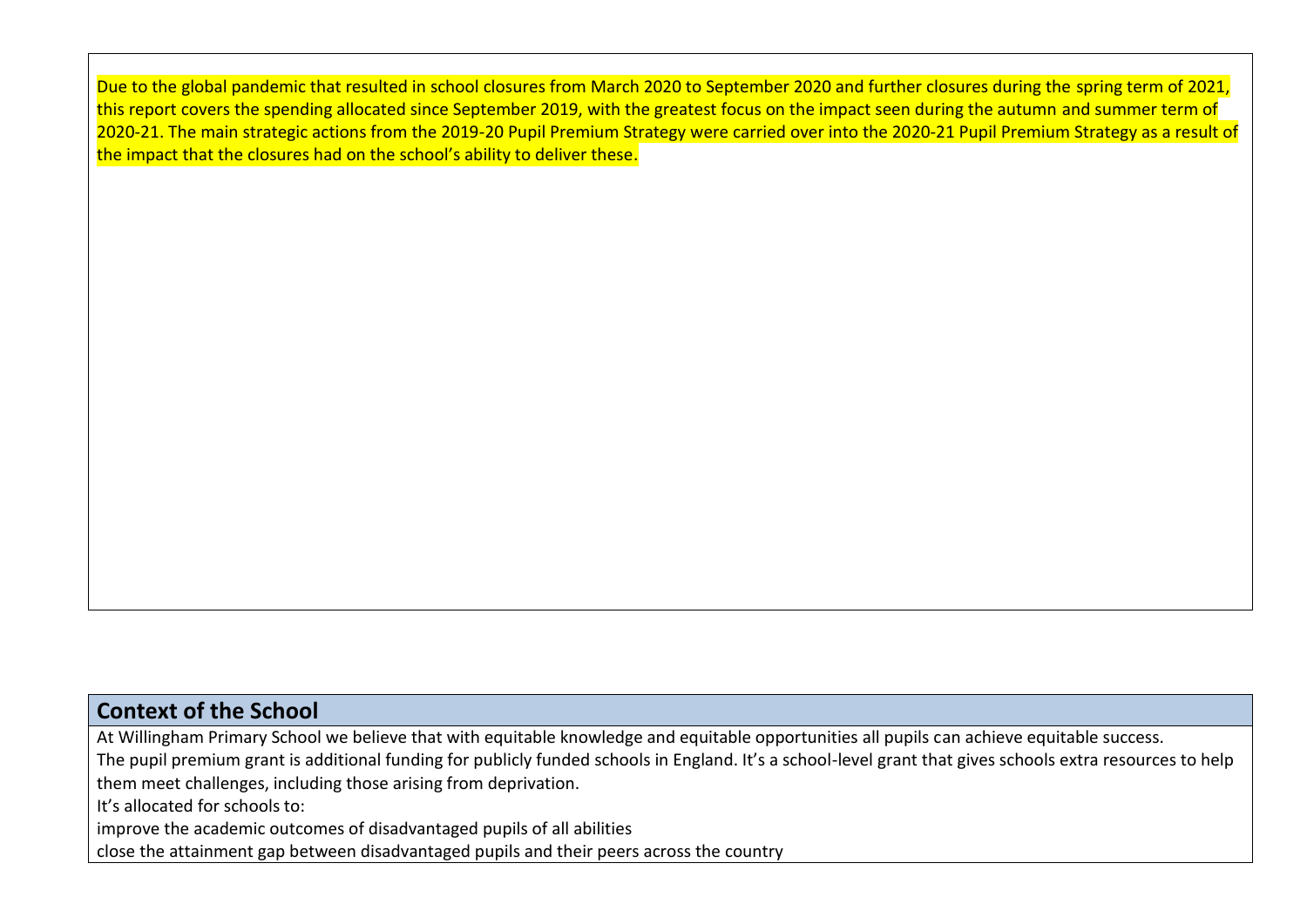Due to the global pandemic that resulted in school closures from March 2020 to September 2020 and further closures during the spring term of 2021, this report covers the spending allocated since September 2019, with the greatest focus on the impact seen during the autumn and summer term of 2020-21. The main strategic actions from the 2019-20 Pupil Premium Strategy were carried over into the 2020-21 Pupil Premium Strategy as a result of the impact that the closures had on the school's ability to deliver these.

### **Context of the School**

At Willingham Primary School we believe that with equitable knowledge and equitable opportunities all pupils can achieve equitable success. The pupil premium grant is additional funding for publicly funded schools in England. It's a school-level grant that gives schools extra resources to help them meet challenges, including those arising from deprivation. It's allocated for schools to: improve the academic outcomes of disadvantaged pupils of all abilities close the attainment gap between disadvantaged pupils and their peers across the country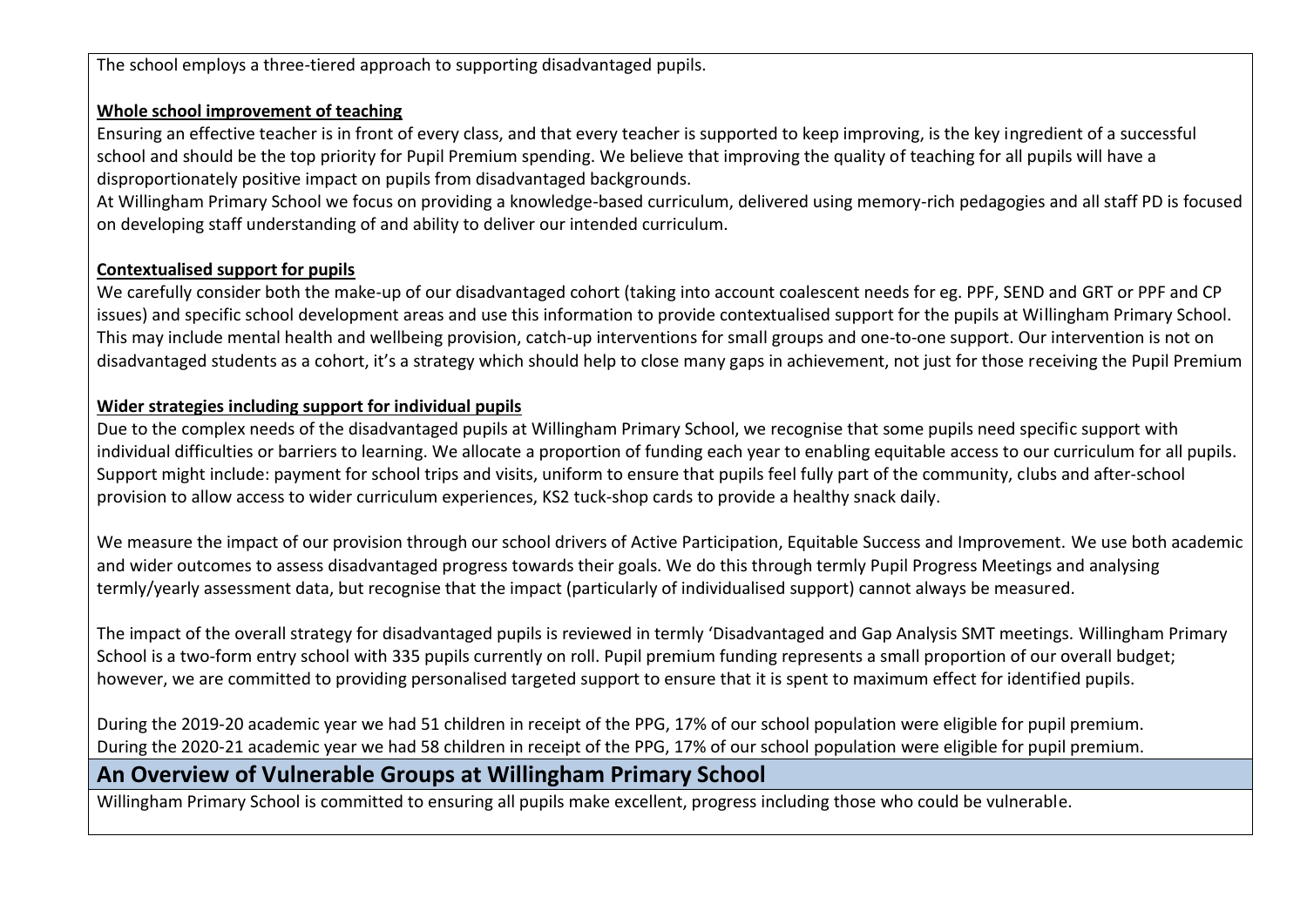The school employs a three-tiered approach to supporting disadvantaged pupils.

#### **Whole school improvement of teaching**

Ensuring an effective teacher is in front of every class, and that every teacher is supported to keep improving, is the key ingredient of a successful school and should be the top priority for Pupil Premium spending. We believe that improving the quality of teaching for all pupils will have a disproportionately positive impact on pupils from disadvantaged backgrounds.

At Willingham Primary School we focus on providing a knowledge-based curriculum, delivered using memory-rich pedagogies and all staff PD is focused on developing staff understanding of and ability to deliver our intended curriculum.

#### **Contextualised support for pupils**

We carefully consider both the make-up of our disadvantaged cohort (taking into account coalescent needs for eg. PPF, SEND and GRT or PPF and CP issues) and specific school development areas and use this information to provide contextualised support for the pupils at Willingham Primary School. This may include mental health and wellbeing provision, catch-up interventions for small groups and one-to-one support. Our intervention is not on disadvantaged students as a cohort, it's a strategy which should help to close many gaps in achievement, not just for those receiving the Pupil Premium

#### **Wider strategies including support for individual pupils**

Due to the complex needs of the disadvantaged pupils at Willingham Primary School, we recognise that some pupils need specific support with individual difficulties or barriers to learning. We allocate a proportion of funding each year to enabling equitable access to our curriculum for all pupils. Support might include: payment for school trips and visits, uniform to ensure that pupils feel fully part of the community, clubs and after-school provision to allow access to wider curriculum experiences, KS2 tuck-shop cards to provide a healthy snack daily.

We measure the impact of our provision through our school drivers of Active Participation, Equitable Success and Improvement. We use both academic and wider outcomes to assess disadvantaged progress towards their goals. We do this through termly Pupil Progress Meetings and analysing termly/yearly assessment data, but recognise that the impact (particularly of individualised support) cannot always be measured.

The impact of the overall strategy for disadvantaged pupils is reviewed in termly 'Disadvantaged and Gap Analysis SMT meetings. Willingham Primary School is a two-form entry school with 335 pupils currently on roll. Pupil premium funding represents a small proportion of our overall budget; however, we are committed to providing personalised targeted support to ensure that it is spent to maximum effect for identified pupils.

During the 2019-20 academic year we had 51 children in receipt of the PPG, 17% of our school population were eligible for pupil premium. During the 2020-21 academic year we had 58 children in receipt of the PPG, 17% of our school population were eligible for pupil premium.

## **An Overview of Vulnerable Groups at Willingham Primary School**

Willingham Primary School is committed to ensuring all pupils make excellent, progress including those who could be vulnerable.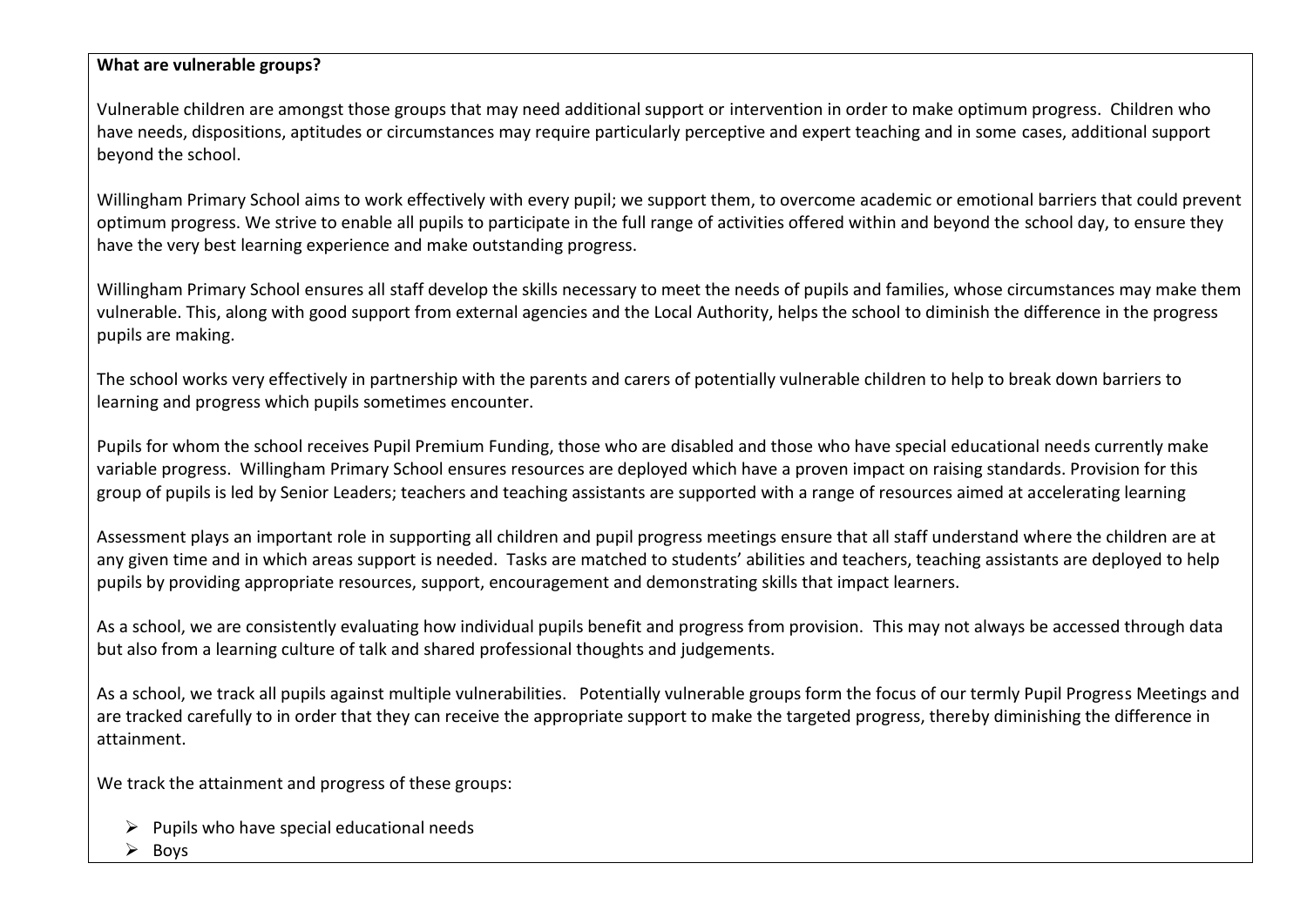#### **What are vulnerable groups?**

Vulnerable children are amongst those groups that may need additional support or intervention in order to make optimum progress. Children who have needs, dispositions, aptitudes or circumstances may require particularly perceptive and expert teaching and in some cases, additional support beyond the school.

Willingham Primary School aims to work effectively with every pupil; we support them, to overcome academic or emotional barriers that could prevent optimum progress. We strive to enable all pupils to participate in the full range of activities offered within and beyond the school day, to ensure they have the very best learning experience and make outstanding progress.

Willingham Primary School ensures all staff develop the skills necessary to meet the needs of pupils and families, whose circumstances may make them vulnerable. This, along with good support from external agencies and the Local Authority, helps the school to diminish the difference in the progress pupils are making.

The school works very effectively in partnership with the parents and carers of potentially vulnerable children to help to break down barriers to learning and progress which pupils sometimes encounter.

Pupils for whom the school receives Pupil Premium Funding, those who are disabled and those who have special educational needs currently make variable progress. Willingham Primary School ensures resources are deployed which have a proven impact on raising standards. Provision for this group of pupils is led by Senior Leaders; teachers and teaching assistants are supported with a range of resources aimed at accelerating learning

Assessment plays an important role in supporting all children and pupil progress meetings ensure that all staff understand where the children are at any given time and in which areas support is needed. Tasks are matched to students' abilities and teachers, teaching assistants are deployed to help pupils by providing appropriate resources, support, encouragement and demonstrating skills that impact learners.

As a school, we are consistently evaluating how individual pupils benefit and progress from provision. This may not always be accessed through data but also from a learning culture of talk and shared professional thoughts and judgements.

As a school, we track all pupils against multiple vulnerabilities. Potentially vulnerable groups form the focus of our termly Pupil Progress Meetings and are tracked carefully to in order that they can receive the appropriate support to make the targeted progress, thereby diminishing the difference in attainment.

We track the attainment and progress of these groups:

- $\triangleright$  Pupils who have special educational needs
- ➢ Boys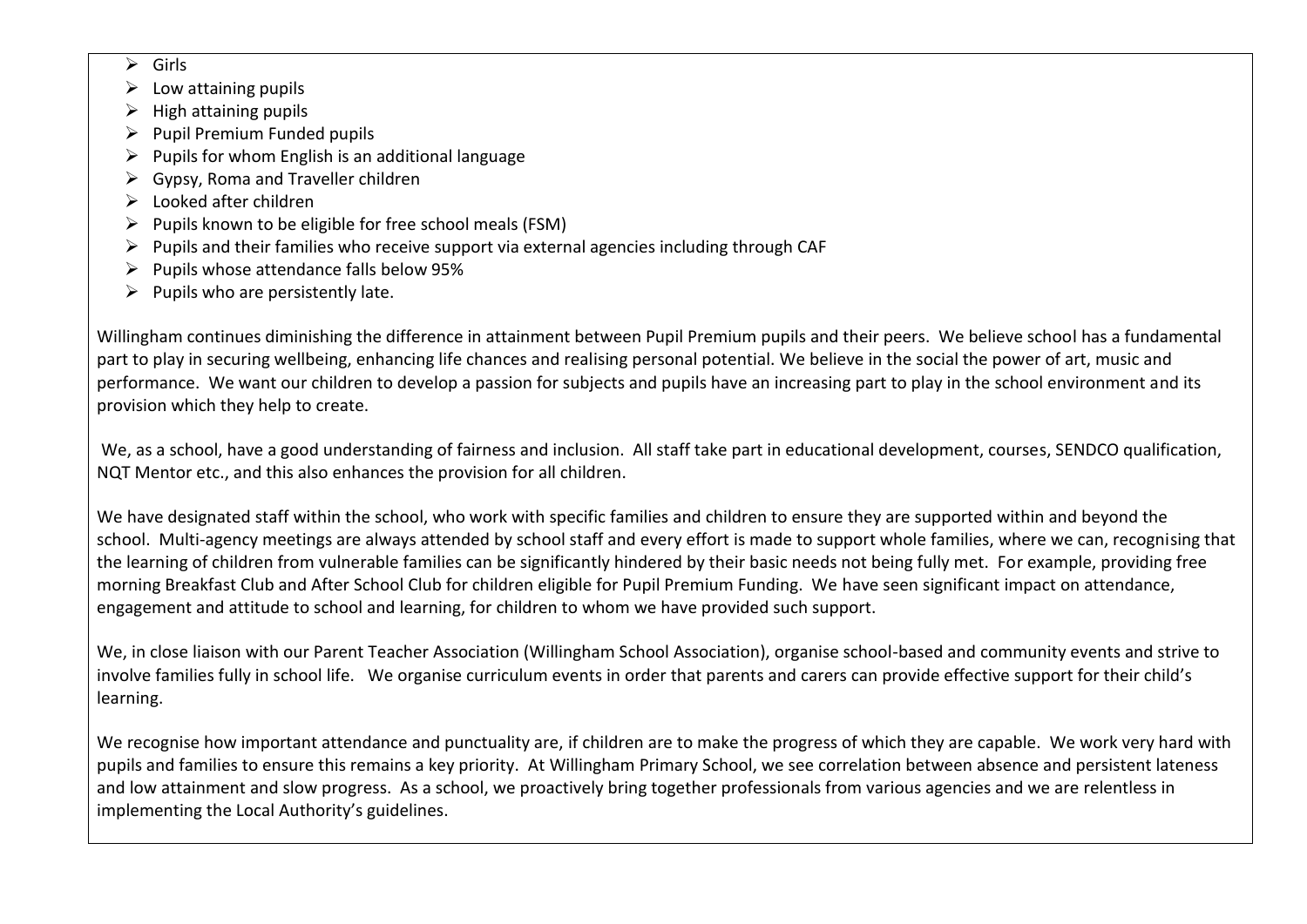- ➢ Girls
- $\triangleright$  Low attaining pupils
- $\triangleright$  High attaining pupils
- $\triangleright$  Pupil Premium Funded pupils
- $\triangleright$  Pupils for whom English is an additional language
- $\triangleright$  Gypsy, Roma and Traveller children
- ➢ Looked after children
- $\triangleright$  Pupils known to be eligible for free school meals (FSM)
- $\triangleright$  Pupils and their families who receive support via external agencies including through CAF
- ➢ Pupils whose attendance falls below 95%
- $\triangleright$  Pupils who are persistently late.

Willingham continues diminishing the difference in attainment between Pupil Premium pupils and their peers. We believe school has a fundamental part to play in securing wellbeing, enhancing life chances and realising personal potential. We believe in the social the power of art, music and performance. We want our children to develop a passion for subjects and pupils have an increasing part to play in the school environment and its provision which they help to create.

We, as a school, have a good understanding of fairness and inclusion. All staff take part in educational development, courses, SENDCO qualification, NQT Mentor etc., and this also enhances the provision for all children.

We have designated staff within the school, who work with specific families and children to ensure they are supported within and beyond the school. Multi-agency meetings are always attended by school staff and every effort is made to support whole families, where we can, recognising that the learning of children from vulnerable families can be significantly hindered by their basic needs not being fully met. For example, providing free morning Breakfast Club and After School Club for children eligible for Pupil Premium Funding. We have seen significant impact on attendance, engagement and attitude to school and learning, for children to whom we have provided such support.

We, in close liaison with our Parent Teacher Association (Willingham School Association), organise school-based and community events and strive to involve families fully in school life. We organise curriculum events in order that parents and carers can provide effective support for their child's learning.

We recognise how important attendance and punctuality are, if children are to make the progress of which they are capable. We work very hard with pupils and families to ensure this remains a key priority. At Willingham Primary School, we see correlation between absence and persistent lateness and low attainment and slow progress. As a school, we proactively bring together professionals from various agencies and we are relentless in implementing the Local Authority's guidelines.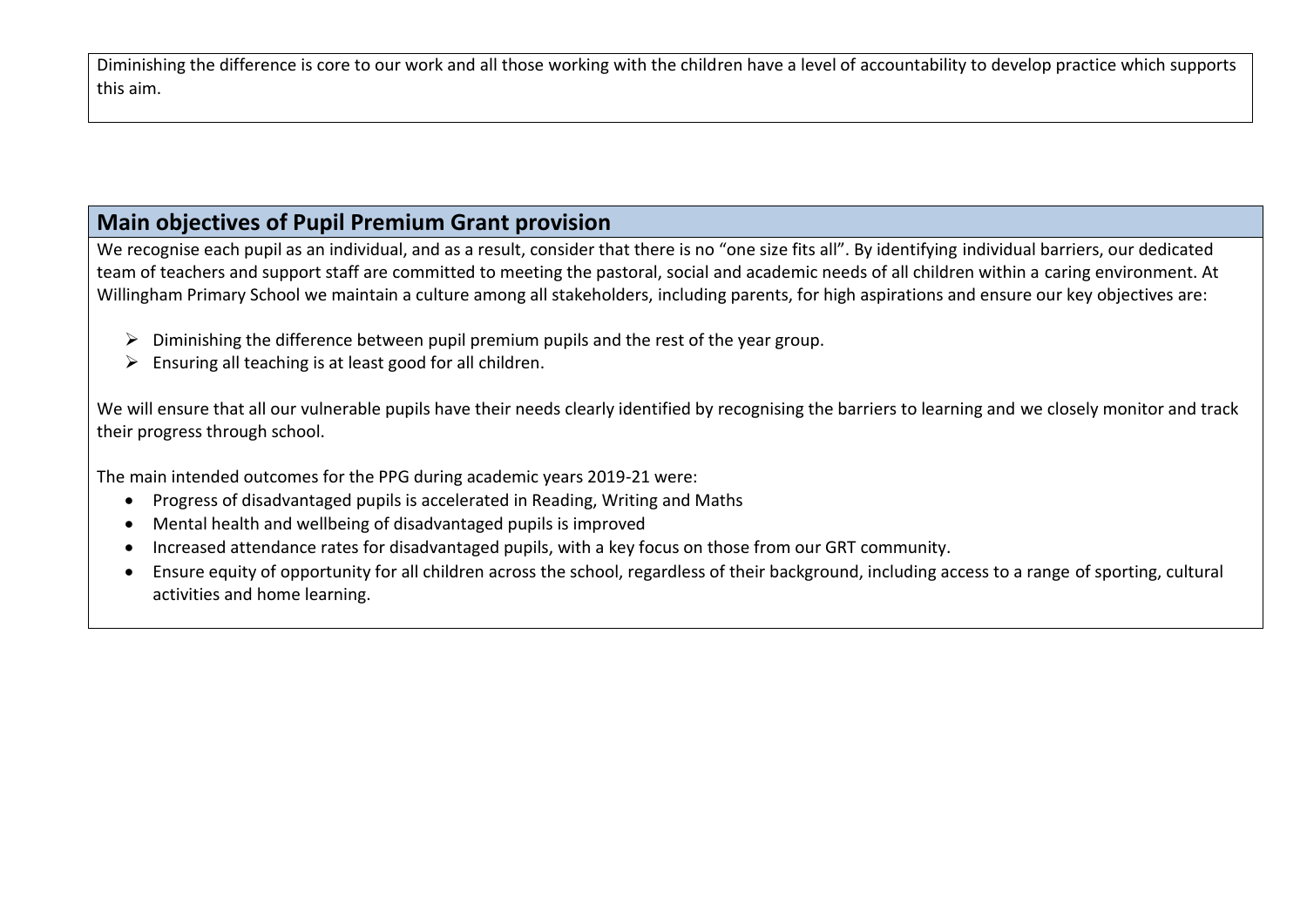Diminishing the difference is core to our work and all those working with the children have a level of accountability to develop practice which supports this aim.

## **Main objectives of Pupil Premium Grant provision**

We recognise each pupil as an individual, and as a result, consider that there is no "one size fits all". By identifying individual barriers, our dedicated team of teachers and support staff are committed to meeting the pastoral, social and academic needs of all children within a caring environment. At Willingham Primary School we maintain a culture among all stakeholders, including parents, for high aspirations and ensure our key objectives are:

- $\triangleright$  Diminishing the difference between pupil premium pupils and the rest of the year group.
- $\triangleright$  Ensuring all teaching is at least good for all children.

We will ensure that all our vulnerable pupils have their needs clearly identified by recognising the barriers to learning and we closely monitor and track their progress through school.

The main intended outcomes for the PPG during academic years 2019-21 were:

- Progress of disadvantaged pupils is accelerated in Reading, Writing and Maths
- Mental health and wellbeing of disadvantaged pupils is improved
- Increased attendance rates for disadvantaged pupils, with a key focus on those from our GRT community.
- Ensure equity of opportunity for all children across the school, regardless of their background, including access to a range of sporting, cultural activities and home learning.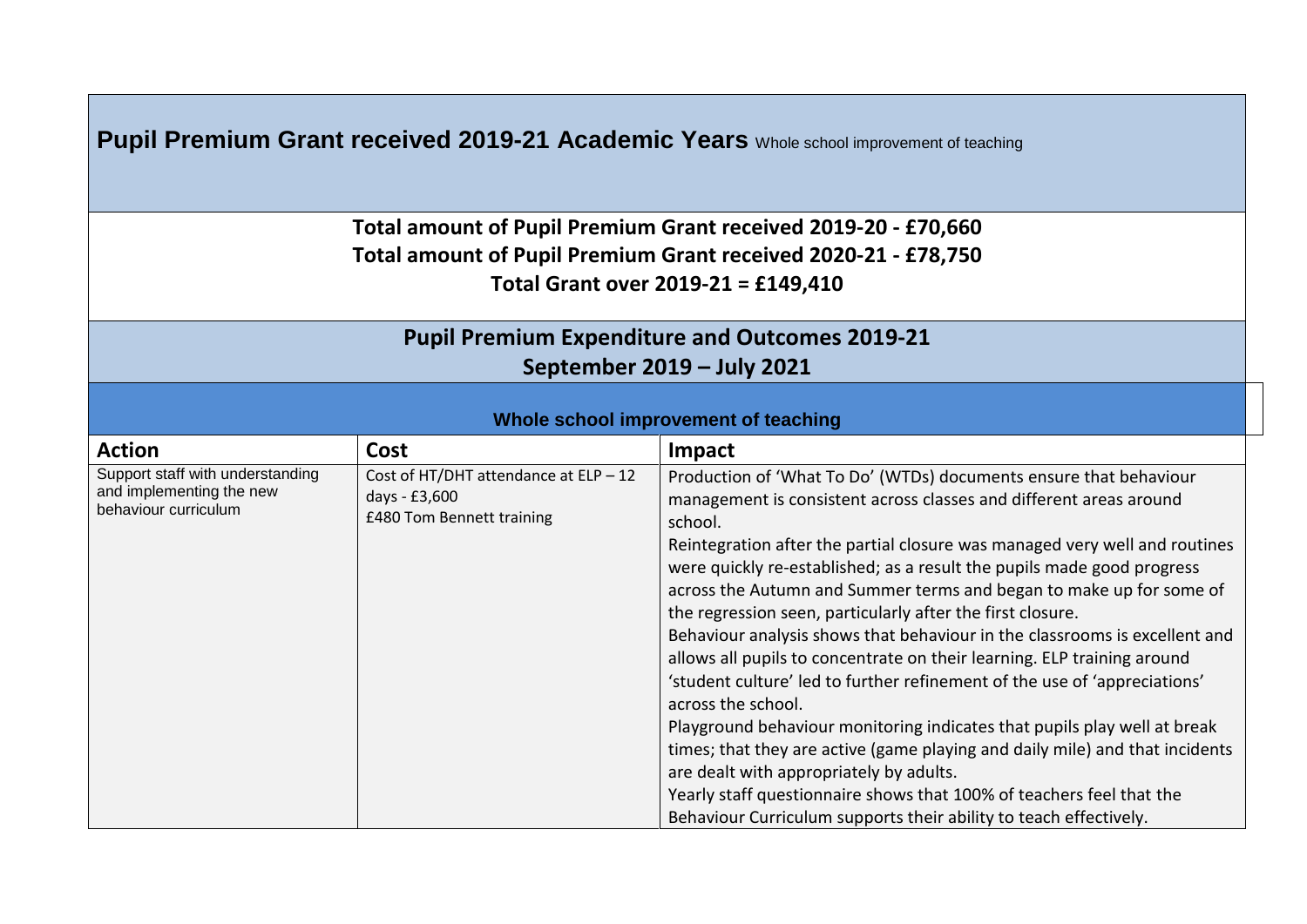| <b>Pupil Premium Grant received 2019-21 Academic Years</b> Whole school improvement of teaching |  |
|-------------------------------------------------------------------------------------------------|--|
|-------------------------------------------------------------------------------------------------|--|

**Total amount of Pupil Premium Grant received 2019-20 - £70,660 Total amount of Pupil Premium Grant received 2020-21 - £78,750 Total Grant over 2019-21 = £149,410**

# **Pupil Premium Expenditure and Outcomes 2019-21 September 2019 – July 2021**

#### **Whole school improvement of teaching**

| <b>Action</b>                                                                        | <b>Cost</b>                                                                           | Impact                                                                                                                                                                                                                                                                                                                                                                                                                                                                                                                                                                                                   |
|--------------------------------------------------------------------------------------|---------------------------------------------------------------------------------------|----------------------------------------------------------------------------------------------------------------------------------------------------------------------------------------------------------------------------------------------------------------------------------------------------------------------------------------------------------------------------------------------------------------------------------------------------------------------------------------------------------------------------------------------------------------------------------------------------------|
| Support staff with understanding<br>and implementing the new<br>behaviour curriculum | Cost of HT/DHT attendance at $ELP - 12$<br>days - £3,600<br>£480 Tom Bennett training | Production of 'What To Do' (WTDs) documents ensure that behaviour<br>management is consistent across classes and different areas around<br>school.<br>Reintegration after the partial closure was managed very well and routines<br>were quickly re-established; as a result the pupils made good progress<br>across the Autumn and Summer terms and began to make up for some of<br>the regression seen, particularly after the first closure.<br>Behaviour analysis shows that behaviour in the classrooms is excellent and<br>allows all pupils to concentrate on their learning. ELP training around |
|                                                                                      |                                                                                       | 'student culture' led to further refinement of the use of 'appreciations'<br>across the school.                                                                                                                                                                                                                                                                                                                                                                                                                                                                                                          |
|                                                                                      |                                                                                       | Playground behaviour monitoring indicates that pupils play well at break                                                                                                                                                                                                                                                                                                                                                                                                                                                                                                                                 |
|                                                                                      |                                                                                       | times; that they are active (game playing and daily mile) and that incidents                                                                                                                                                                                                                                                                                                                                                                                                                                                                                                                             |
|                                                                                      |                                                                                       | are dealt with appropriately by adults.                                                                                                                                                                                                                                                                                                                                                                                                                                                                                                                                                                  |
|                                                                                      |                                                                                       | Yearly staff questionnaire shows that 100% of teachers feel that the                                                                                                                                                                                                                                                                                                                                                                                                                                                                                                                                     |
|                                                                                      |                                                                                       | Behaviour Curriculum supports their ability to teach effectively.                                                                                                                                                                                                                                                                                                                                                                                                                                                                                                                                        |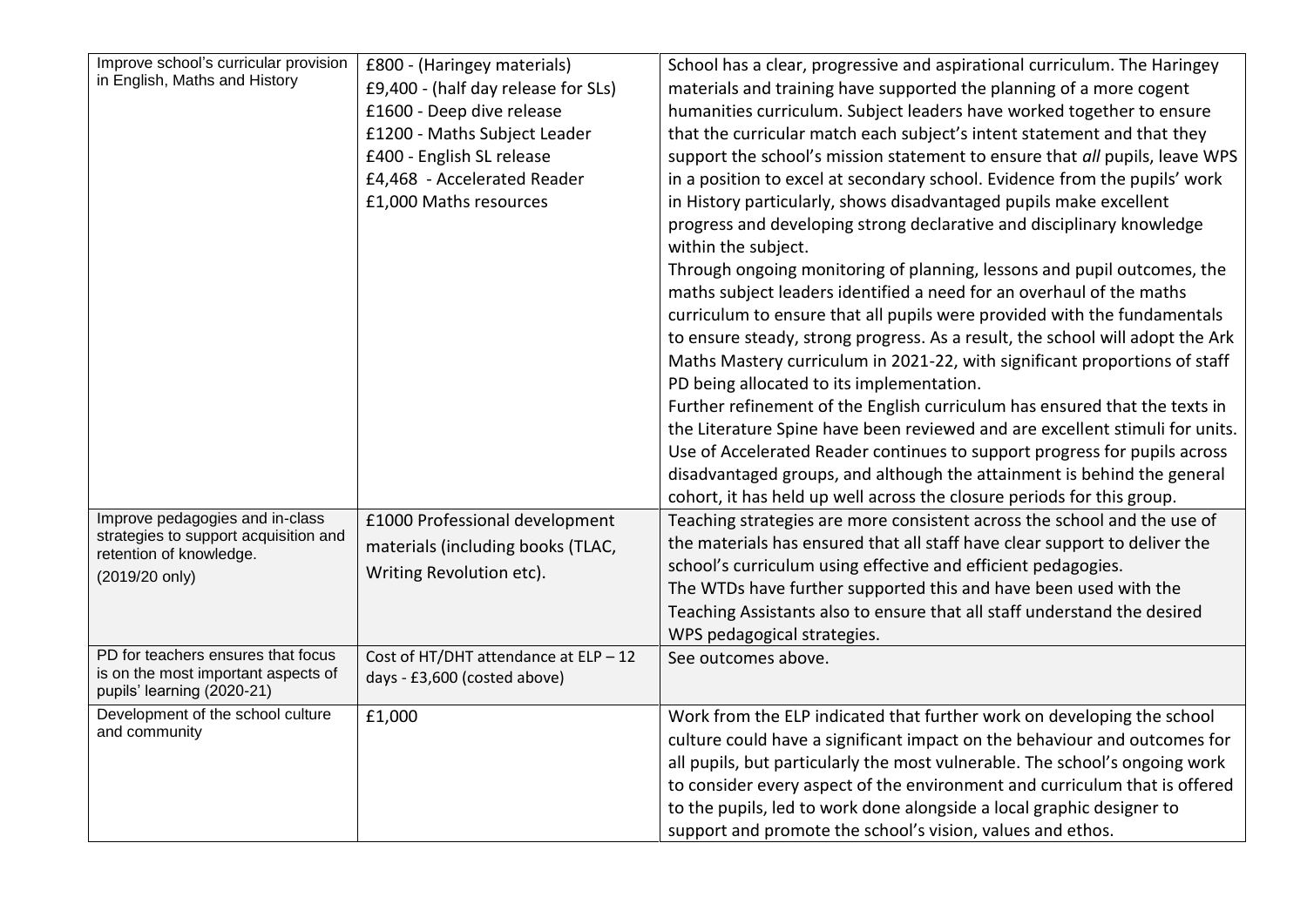| Improve school's curricular provision<br>in English, Maths and History<br>Improve pedagogies and in-class<br>strategies to support acquisition and<br>retention of knowledge.<br>(2019/20 only) | £800 - (Haringey materials)<br>£9,400 - (half day release for SLs)<br>£1600 - Deep dive release<br>£1200 - Maths Subject Leader<br>£400 - English SL release<br>£4,468 - Accelerated Reader<br>£1,000 Maths resources<br>£1000 Professional development<br>materials (including books (TLAC,<br>Writing Revolution etc). | School has a clear, progressive and aspirational curriculum. The Haringey<br>materials and training have supported the planning of a more cogent<br>humanities curriculum. Subject leaders have worked together to ensure<br>that the curricular match each subject's intent statement and that they<br>support the school's mission statement to ensure that all pupils, leave WPS<br>in a position to excel at secondary school. Evidence from the pupils' work<br>in History particularly, shows disadvantaged pupils make excellent<br>progress and developing strong declarative and disciplinary knowledge<br>within the subject.<br>Through ongoing monitoring of planning, lessons and pupil outcomes, the<br>maths subject leaders identified a need for an overhaul of the maths<br>curriculum to ensure that all pupils were provided with the fundamentals<br>to ensure steady, strong progress. As a result, the school will adopt the Ark<br>Maths Mastery curriculum in 2021-22, with significant proportions of staff<br>PD being allocated to its implementation.<br>Further refinement of the English curriculum has ensured that the texts in<br>the Literature Spine have been reviewed and are excellent stimuli for units.<br>Use of Accelerated Reader continues to support progress for pupils across<br>disadvantaged groups, and although the attainment is behind the general<br>cohort, it has held up well across the closure periods for this group.<br>Teaching strategies are more consistent across the school and the use of<br>the materials has ensured that all staff have clear support to deliver the<br>school's curriculum using effective and efficient pedagogies. |
|-------------------------------------------------------------------------------------------------------------------------------------------------------------------------------------------------|--------------------------------------------------------------------------------------------------------------------------------------------------------------------------------------------------------------------------------------------------------------------------------------------------------------------------|---------------------------------------------------------------------------------------------------------------------------------------------------------------------------------------------------------------------------------------------------------------------------------------------------------------------------------------------------------------------------------------------------------------------------------------------------------------------------------------------------------------------------------------------------------------------------------------------------------------------------------------------------------------------------------------------------------------------------------------------------------------------------------------------------------------------------------------------------------------------------------------------------------------------------------------------------------------------------------------------------------------------------------------------------------------------------------------------------------------------------------------------------------------------------------------------------------------------------------------------------------------------------------------------------------------------------------------------------------------------------------------------------------------------------------------------------------------------------------------------------------------------------------------------------------------------------------------------------------------------------------------------------------------------------------------------------------------|
|                                                                                                                                                                                                 |                                                                                                                                                                                                                                                                                                                          | The WTDs have further supported this and have been used with the<br>Teaching Assistants also to ensure that all staff understand the desired<br>WPS pedagogical strategies.                                                                                                                                                                                                                                                                                                                                                                                                                                                                                                                                                                                                                                                                                                                                                                                                                                                                                                                                                                                                                                                                                                                                                                                                                                                                                                                                                                                                                                                                                                                                   |
| PD for teachers ensures that focus<br>is on the most important aspects of<br>pupils' learning (2020-21)                                                                                         | Cost of HT/DHT attendance at $ELP - 12$<br>days - £3,600 (costed above)                                                                                                                                                                                                                                                  | See outcomes above.                                                                                                                                                                                                                                                                                                                                                                                                                                                                                                                                                                                                                                                                                                                                                                                                                                                                                                                                                                                                                                                                                                                                                                                                                                                                                                                                                                                                                                                                                                                                                                                                                                                                                           |
| Development of the school culture<br>and community                                                                                                                                              | £1,000                                                                                                                                                                                                                                                                                                                   | Work from the ELP indicated that further work on developing the school<br>culture could have a significant impact on the behaviour and outcomes for<br>all pupils, but particularly the most vulnerable. The school's ongoing work<br>to consider every aspect of the environment and curriculum that is offered<br>to the pupils, led to work done alongside a local graphic designer to<br>support and promote the school's vision, values and ethos.                                                                                                                                                                                                                                                                                                                                                                                                                                                                                                                                                                                                                                                                                                                                                                                                                                                                                                                                                                                                                                                                                                                                                                                                                                                       |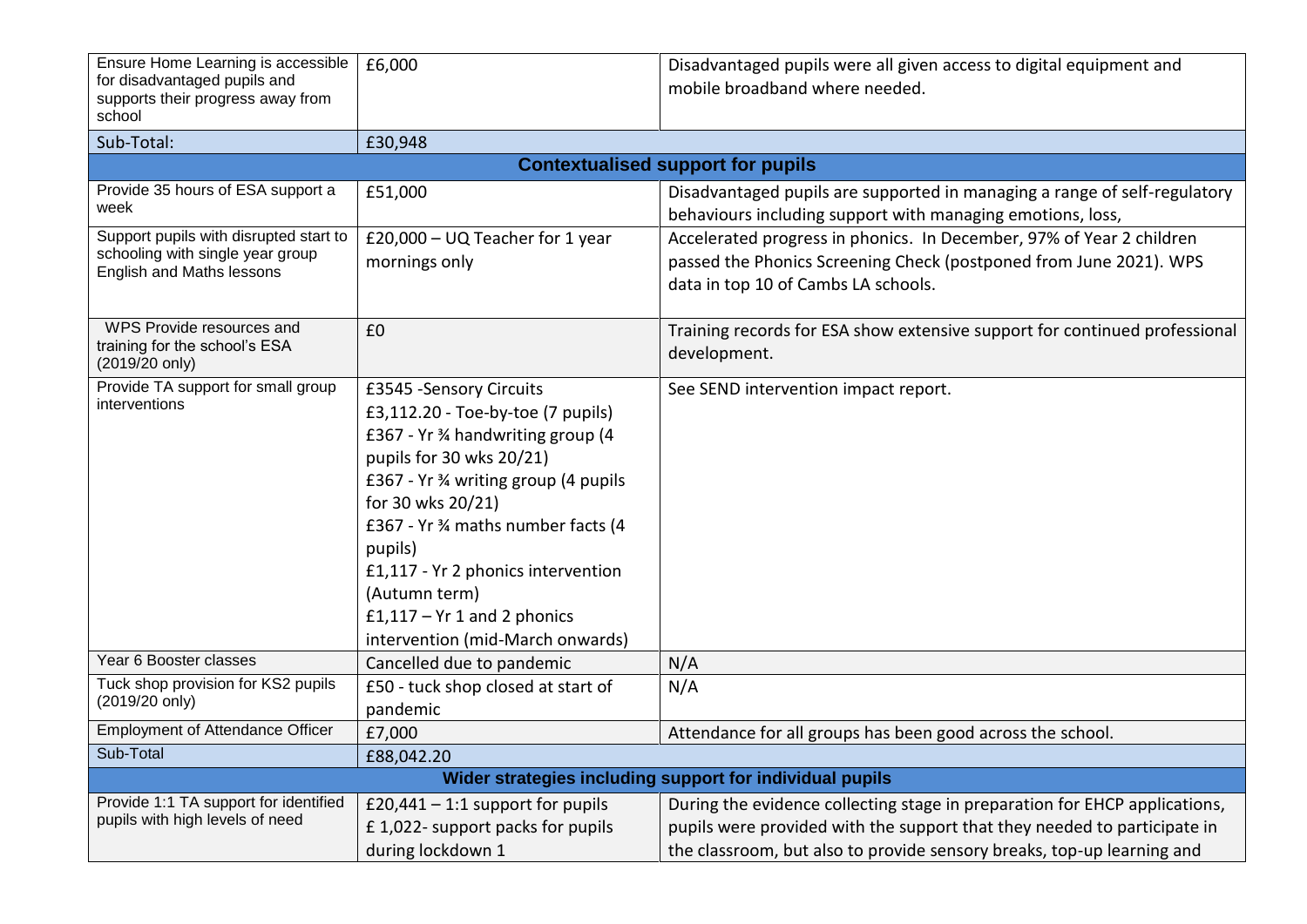| Ensure Home Learning is accessible<br>for disadvantaged pupils and<br>supports their progress away from<br>school | £6,000                                                                                                                                                                                                                                                                                                                                                                   | Disadvantaged pupils were all given access to digital equipment and<br>mobile broadband where needed.                                                                                                                            |  |
|-------------------------------------------------------------------------------------------------------------------|--------------------------------------------------------------------------------------------------------------------------------------------------------------------------------------------------------------------------------------------------------------------------------------------------------------------------------------------------------------------------|----------------------------------------------------------------------------------------------------------------------------------------------------------------------------------------------------------------------------------|--|
| Sub-Total:                                                                                                        | £30,948                                                                                                                                                                                                                                                                                                                                                                  |                                                                                                                                                                                                                                  |  |
|                                                                                                                   |                                                                                                                                                                                                                                                                                                                                                                          | <b>Contextualised support for pupils</b>                                                                                                                                                                                         |  |
| Provide 35 hours of ESA support a<br>week                                                                         | £51,000                                                                                                                                                                                                                                                                                                                                                                  | Disadvantaged pupils are supported in managing a range of self-regulatory<br>behaviours including support with managing emotions, loss,                                                                                          |  |
| Support pupils with disrupted start to<br>schooling with single year group<br>English and Maths lessons           | £20,000 - UQ Teacher for 1 year<br>mornings only                                                                                                                                                                                                                                                                                                                         | Accelerated progress in phonics. In December, 97% of Year 2 children<br>passed the Phonics Screening Check (postponed from June 2021). WPS<br>data in top 10 of Cambs LA schools.                                                |  |
| WPS Provide resources and<br>training for the school's ESA<br>(2019/20 only)                                      | £0                                                                                                                                                                                                                                                                                                                                                                       | Training records for ESA show extensive support for continued professional<br>development.                                                                                                                                       |  |
| Provide TA support for small group<br>interventions                                                               | £3545 - Sensory Circuits<br>£3,112.20 - Toe-by-toe (7 pupils)<br>£367 - Yr 3⁄4 handwriting group (4<br>pupils for 30 wks 20/21)<br>£367 - Yr 3⁄4 writing group (4 pupils<br>for 30 wks 20/21)<br>£367 - Yr % maths number facts (4<br>pupils)<br>£1,117 - Yr 2 phonics intervention<br>(Autumn term)<br>$£1,117 - Yr1$ and 2 phonics<br>intervention (mid-March onwards) | See SEND intervention impact report.                                                                                                                                                                                             |  |
| Year 6 Booster classes                                                                                            | Cancelled due to pandemic                                                                                                                                                                                                                                                                                                                                                | N/A                                                                                                                                                                                                                              |  |
| Tuck shop provision for KS2 pupils<br>(2019/20 only)                                                              | £50 - tuck shop closed at start of<br>pandemic                                                                                                                                                                                                                                                                                                                           | N/A                                                                                                                                                                                                                              |  |
| <b>Employment of Attendance Officer</b>                                                                           | £7,000                                                                                                                                                                                                                                                                                                                                                                   | Attendance for all groups has been good across the school.                                                                                                                                                                       |  |
| Sub-Total                                                                                                         | £88,042.20                                                                                                                                                                                                                                                                                                                                                               |                                                                                                                                                                                                                                  |  |
| Wider strategies including support for individual pupils                                                          |                                                                                                                                                                                                                                                                                                                                                                          |                                                                                                                                                                                                                                  |  |
| Provide 1:1 TA support for identified<br>pupils with high levels of need                                          | £20,441 $-$ 1:1 support for pupils<br>£1,022- support packs for pupils<br>during lockdown 1                                                                                                                                                                                                                                                                              | During the evidence collecting stage in preparation for EHCP applications,<br>pupils were provided with the support that they needed to participate in<br>the classroom, but also to provide sensory breaks, top-up learning and |  |